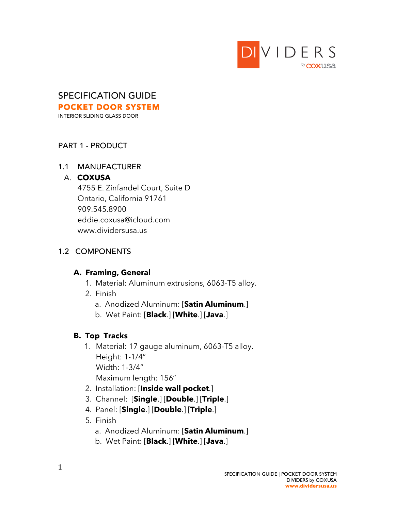

# SPECIFICATION GUIDE POCKET DOOR SYSTEM

INTERIOR SLIDING GLASS DOOR

#### PART 1 - PRODUCT

#### 1.1 MANUFACTURER

#### A. **COXUSA**

 4755 E. Zinfandel Court, Suite D Ontario, California 91761 909.545.8900 eddie.coxusa@icloud.com www.dividersusa.us

#### 1.2 COMPONENTS

#### **A. Framing, General**

- 1. Material: Aluminum extrusions, 6063-T5 alloy.
- 2. Finish
	- a. Anodized Aluminum: [**Satin Aluminum**.]
	- b. Wet Paint: [**Black**.] [**White**.] [**Java**.]

#### **B. Top Tracks**

- 1. Material: 17 gauge aluminum, 6063-T5 alloy. Height: 1-1/4" Width: 1-3/4" Maximum length: 156"
- 2. Installation: [**Inside wall pocket**.]
- 3. Channel: [**Single**.] [**Double**.] [**Triple**.]
- 4. Panel: [**Single**.] [**Double**.] [**Triple**.]
- 5. Finish
	- a. Anodized Aluminum: [**Satin Aluminum**.]
	- b. Wet Paint: [**Black**.] [**White**.] [**Java**.]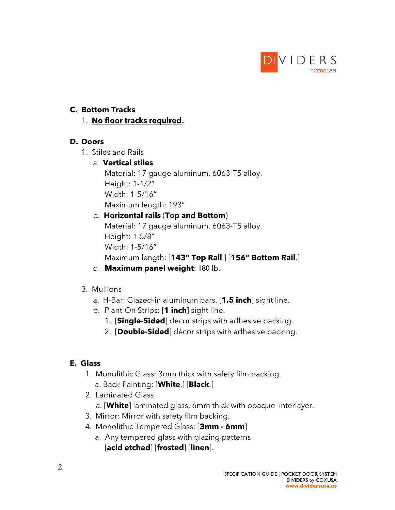

#### **C. Bottom Tracks**

# 1. **No floor tracks required.**

#### **D. Doors**

1. Stiles and Rails

# a. **Vertical stiles**

Material: 17 gauge aluminum, 6063-T5 alloy. Height: 1-1/2" Width: 1-5/16" Maximum length: 193"

# b. **Horizontal rails** (**Top and Bottom**)

Material: 17 gauge aluminum, 6063-T5 alloy. Height: 1-5/8" Width: 1-5/16"

Maximum length: [**143" Top Rail**.] [**156" Bottom Rail**.]

c. **Maximum panel weight**: 180 lb.

# 3. Mullions

- a. H-Bar: Glazed-in aluminum bars. [**1.5 inch**] sight line.
- b. Plant-On Strips: [**1 inch**] sight line.
	- 1. [**Single-Sided**] décor strips with adhesive backing.
	- 2. [**Double-Sided**] décor strips with adhesive backing.

# **E. Glass**

- 1. Monolithic Glass: 3mm thick with safety film backing. a. Back-Painting: [**White**.] [**Black**.]
- 2. Laminated Glass
	- a. [**White**] laminated glass, 6mm thick with opaque interlayer.
- 3. Mirror: Mirror with safety film backing.
- 4. Monolithic Tempered Glass: [**3mm - 6mm**]
	- a. Any tempered glass with glazing patterns [**acid etched**] [**frosted**] [**linen**].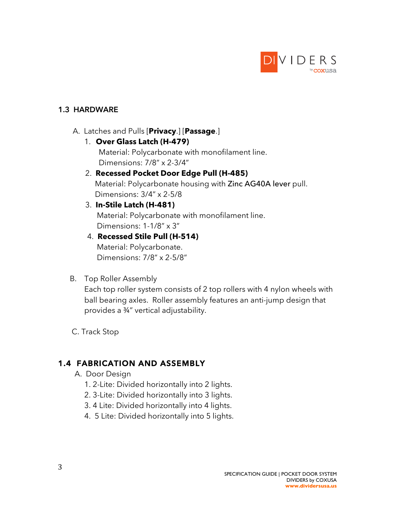

#### **1.3 HARDWARE**

- A. Latches and Pulls [**Privacy**.] [**Passage**.]
	- 1. **Over Glass Latch (H-479)**

Material: Polycarbonate with monofilament line. Dimensions: 7/8" x 2-3/4"

#### 2. **Recessed Pocket Door Edge Pull (H-485)**

 Material: Polycarbonate housing with Zinc AG40A lever pull. Dimensions: 3/4" x 2-5/8

# 3. **In-Stile Latch (H-481)**

 Material: Polycarbonate with monofilament line. Dimensions: 1-1/8" x 3"

# 4. **Recessed Stile Pull (H-514)**

Material: Polycarbonate. Dimensions: 7/8" x 2-5/8"

# B. Top Roller Assembly

Each top roller system consists of 2 top rollers with 4 nylon wheels with ball bearing axles. Roller assembly features an anti-jump design that provides a ¾" vertical adjustability.

C. Track Stop

# **1.4 FABRICATION AND ASSEMBLY**

- A. Door Design
	- 1. 2-Lite: Divided horizontally into 2 lights.
	- 2. 3-Lite: Divided horizontally into 3 lights.
	- 3. 4 Lite: Divided horizontally into 4 lights.
	- 4. 5 Lite: Divided horizontally into 5 lights.